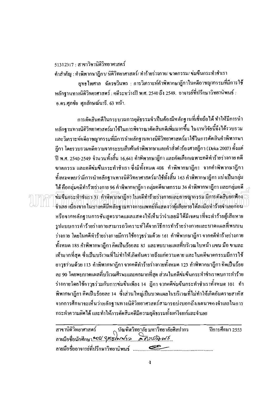51312317 : สาขาวิชานิติวิทยาศาสตร์

้คำสำคัญ : คำพิพากษาภีกา/ นิติวิทยาศาสตร์/ ทำร้ายร่างกาย/ ฆาตกรรม/ ข่มขืนกระทำชำเรา ยุทธไพศาล ฉัดรชวินพร : การวิเคราะห์คำพิพากษาฎีกาในคดีอาชญากรรมที่มีการใช้ หลักจานทางนิติวิทยาศาสตร์ : คดีระหว่างปี พ.ศ. 2540 ถึง 2549. อาจารย์ที่ปรึกษาวิทยานิพนธ์ : อ.คร.ศุภชัย ศุภลักษณ์นารี. 63 หน้า.

การดัดสินคดีในกระบวนการยุติธรรมจำเป็นต้องมีหลักฐานที่เชื่อถือได้ ทำให้มีการนำ หลักฐานทางนิติวิทยาศาสตร์มาใช้ในการพิจารณาตัดสินกดีเพิ่มมากขึ้น ในงานวิจัยนี้จึงได้รวบรวม และวิเคราะห์คดีอาชญากรรมที่มีการนำหลักฐานทางนิติวิทยาศาสตร์มาใช้ในการตัดสินคำพิพากษา ้ฏีกา โดยรวบรวมกดีกวามจากระบบสืบก้นกำพิพากษาและกำสั่งกำร้องศาลฎีกา (Deka 2007) ตั้งแต่ ปี พ.ศ. 2540-2549 จำนวนทั้งสิ้น 16,641 คำพิพากษาฎีกา และคัดเลือกเฉพาะคดีทำร้ายร่างกาย คดี ฆาตกรรม และคดีข่มขึ้นกระทำชำเรา ซึ่งมีทั้งหมด 408 คำพิพากษาฎีกา จากคำพิพากษาฎีกา ทั้งหมดพบว่ามีการนำหลักฐานทางนิติวิทยาศาสตร์มาใช้ทั้งสิ้น 163 คำพิพากษาฎีกา แบ่งเป็นกลุ่ม ได้ คือกลุ่มคดีทำร้ายร่างกาย 96 คำพิพากษาฏีกา กลุ่มคดีฆาตกรรม 36 คำพิพากษาฏีกา และกลุ่มคดี ข่มขืนกระทำชำเรา 31 คำพิพากษาฎีกา ในคลีทำร้ายร่วงกายเเละอาชญากรรม มีการตัดสินยกฟ้อง จำเลย เนื่องจากในบางคดีมีหลักฐานทางการแพทย์ที่แสดงว่าผู้เสียหายได้ลงมือทำร้ายจำเลยก่อน หรือจากหลักฐานการชั้นสูตรบาคแผลแสดงให้เห็นว่าจำเลยมิได้มีเจตนาที่จะทำร้ายผู้เสียหาย รปแบบการทำร้ายร่างกายสามารถวิเคราะห์ได้จากวิธีการทำร้ายร่างกายและบาดแผลที่พบบน ร่างกาย โดยในกดีทำร้ายร่างกายมีการใช้อาวุธร่วมด้วย 161 กำพิพากษาฎีกา จากกดีทำร้ายร่างกาย ้ ทั้งหมด 185 คำพิพากษาฎีกา คิดเป็นร้อยละ 85 และพบบาดแผลที่บริเวณใบหน้า แขน มือ ขาและ เท้ามากที่สุด ซึ่งเป็นบริเวณที่ไม่ทำให้เกิดอันตรายถึงแก่ความตาย และในคดีฆาตกรรมมีการใช้ ่ อาวุธร่วมด้วย 113 คำพิพากษาฎีกา จากคดีทำร้ายร่างกายทั้งหมด 123 คำพิพากษาฎีกา กิดเป็นร้อย ิละ 90 โดยพบบาดแผลที่บริเวณศีรษะและคอมากที่สุด ส่วนในคดีข่มขืนกระทำชำเราพบการทำร้าย ้ร่างกายโดยใช้อาวุธร่วมกับการข่มขืนเพียง 14 ฎีกา จากคดีข่มขืนกระทำชำเราทั้งหมด 101 คำ ี พิพากษาฎีกา คิดเป็นร้อยละ 14 ซึ่งส่วนใหญ่เป็นบาคแผลในบริเวณที่ไม่ทำให้เกิดอันตรายสาหัส จากการศึกษาจะเห็นว่าหลักฐานทางนิติวิทยาศาสตร์สามารถบ่งบอกถึงเจตนาของจำเลยในการ ้ กระทำความผิดได้ และทำให้การตัดสินคดีมีความยุติธรรมทั้งแก่ โจทก์และจำเลย

| สาขานิติวิทยาศาสตร์                                     | ุ บัณฑิตวิทยาลัย มหาวิทยาลัยศิลปากร | ปีการศึกษา 2553 |
|---------------------------------------------------------|-------------------------------------|-----------------|
| ลายมือชื่อนักศึกษา 50% <i>Qnawww - 2 ลิ สรุปกิจ พ.ร</i> |                                     |                 |
| ลายมือชื่ออาจารย์ที่ปรึกษาวิทยานิพนธ์                   |                                     |                 |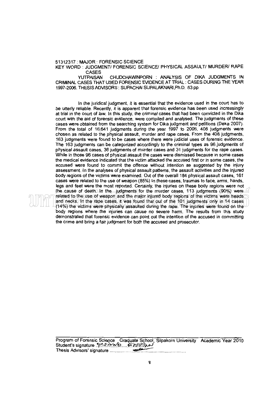51312317: MAJOR: FORENSIC SCIENCE

KEY WORD : JUDGMENT/ FORENSIC SCIENCE/ PHYSICAL ASSAULT/ MURDER/ RAPE

CASES<br>YUTPAISAN CHUDCHAWINPORN : ANALYSIS OF DIKA JUDGMENTS IN CRIMINAL CASES THAT USED FORENSIC EVIDENCE AT TRIAL: CASES DURING THE YEAR 1997-2006. THESIS ADVISORS : SUPACHAI SUPALAKNARI ,Ph.D. 63 pp.

In the juridical judgment, it is essential that the evidence used in the court has to be utterly reliable. Recently, it is apparent that forensic evidence has been used increasingly at trial in the court of law. In this study, the criminal cases that had been convicted in the Dika court with the aid of forensic evidence, were compiled and analysed. The judgments of these cases were obtained from the searching system for Dika judgment and petitions (Deka 2007). From the total of 16,641 judgments during the year 1997 to 2006, 408 judgments were chosen as related to the physical assautt, murder and rape cases. From the 408 judgments, 163 judgments were found to be cases where there were judicial uses of forensic evidence. The 163 judgments can be categorized accordingly to the criminal types as 96 judgments of physical assault cases, 36 judgments of murder cases and 31 judgments for the rape cases. While in those 96 cases of physical assautt the cases were dismissed because in some cases the medical evidence indicated that the victim attacked the accused first or in some cases, the accused were found to commit the offence without intention as suggested by the injury assessment. In the analyses of physical assault patterns, the assault activities and the injured body regions of the victims were examined. Out of the overall 184 physical assault cases, 161 cases were related to the use of weapon (85%) In these cases, traumas to face, arms, hands, legs and feet were the most reported. Certainly, the injuries on these body regions were not the cause of death. In the judgments for the murder cases, 113 judgments (90%) were related to the use of weapon and the major injured body regions of the victims were heads and necks. In the rape cases, it was found that out of the 101 judgments only in 14 cases (14%) the victims were physically assaulted during the rape. The injuries were found on the body regions where the injuries can cause no severe harm. The results from this study demonstrated that forensic evidence can point out the intention of the accused in committing the crime and bring a fair judgment for both the accused and prosecutor.

Program of Forensic Sci~ce Gra~te School Silpakorn University Academic Year 2010 Student's signature .'1~.~ *..* ~ *......* -r>.~)PJ Th. esls Ad. v1sors '. s1gna t ure ............................................... ------ .